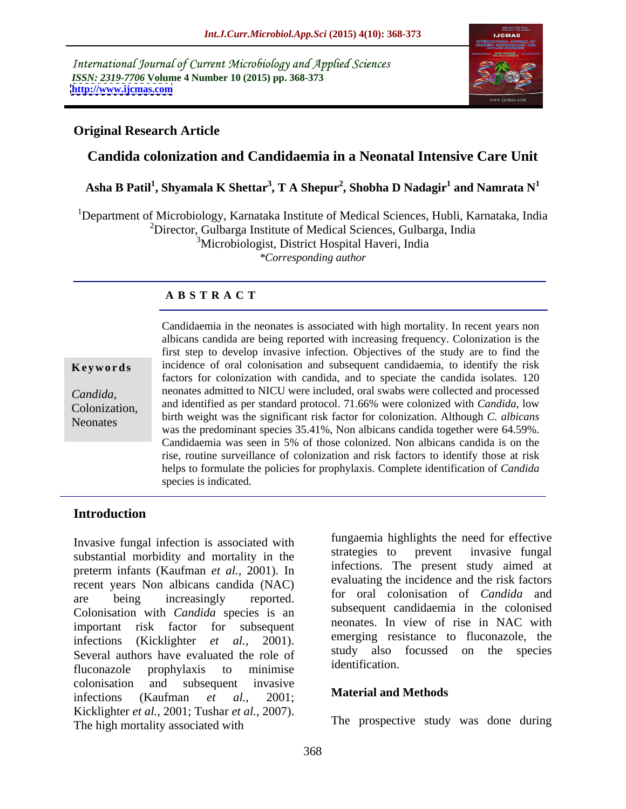International Journal of Current Microbiology and Applied Sciences *ISSN: 2319-7706* **Volume 4 Number 10 (2015) pp. 368-373 <http://www.ijcmas.com>**



## **Original Research Article**

# **Candida colonization and Candidaemia in a Neonatal Intensive Care Unit**

#### $\boldsymbol{\Lambda}$ sha B Patil<sup>1</sup>, Shyamala K Shettar<sup>3</sup>, T A Shepur<sup>2</sup>, Shobha D Nadagir<sup>1</sup> and Namrata N<sup>1</sup>  **and Namrata N<sup>1</sup>**

<sup>1</sup>Department of Microbiology, Karnataka Institute of Medical Sciences, Hubli, Karnataka, India  ${}^{2}$ Director, Gulbarga Institute of Medical Sciences, Gulbarga, India <sup>3</sup>Microbiologist, District Hospital Haveri, India

*\*Corresponding author*

### **A B S T R A C T**

Neonates

Candidaemia in the neonates is associated with high mortality. In recent years non albicans candida are being reported with increasing frequency. Colonization is the first step to develop invasive infection. Objectives of the study are to find the **Keywords** incidence of oral colonisation and subsequent candidaemia, to identify the risk factors for colonization with candida, and to speciate the candida isolates. 120 neonates admitted to NICU were included, oral swabs were collected and processed *Candida*, neonates admitted to NICU were included, oral swabs were collected and processed<br>Colonization, and identified as per standard protocol. 71.66% were colonized with *Candida*, low birth weight was the significant risk factor for colonization. Although *C. albicans* was the predominant species 35.41%, Non albicans candida together were 64.59%. Candidaemia was seen in 5% of those colonized. Non albicans candida is on the rise, routine surveillance of colonization and risk factors to identify those at risk helps to formulate the policies for prophylaxis. Complete identification of *Candida* species is indicated.

### **Introduction**

Invasive fungal infection is associated with<br>and the strategies to prevent invasive fungal substantial morbidity and mortality in the preterm infants (Kaufman *et al.,* 2001).In recent years Non albicans candida (NAC) are being increasingly reported. I<sup>I</sup> or oral colonisation of Canataa and Colonisation with *Candida* species is an important risk factor for subsequent and neonates. In view of rise in NAC with infections (Kicklighter *et al.*, 2001). <sup>emerging</sup> resistance to fuconazole, the Species Several authors have evaluated the role of the species in the species fluconazole prophylaxis to minimise allentification. colonisation and subsequent invasive infections (Kaufman *et al.,* 2001; Kicklighter *et al.,* 2001; Tushar *et al.,* 2007). The high mortality associated with

fungaemia highlights the need for effective strategies to prevent invasive fungal infections. The present study aimed at evaluating the incidence and the risk factors for oral colonisation of *Candida* and subsequent candidaemia in the colonised neonates. In view of rise in NAC with emerging resistance to fluconazole, the study also focussed on the species identification.

#### **Material and Methods**

The prospective study was done during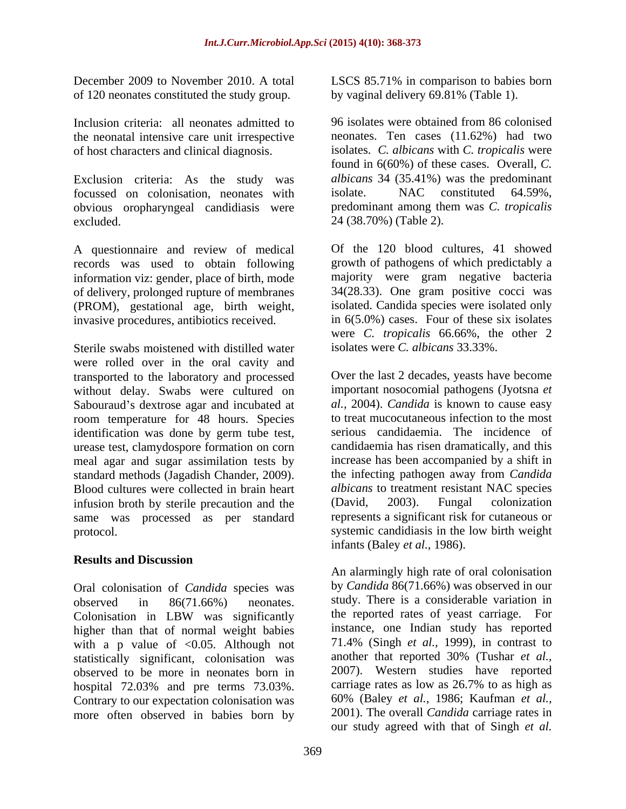of 120 neonates constituted the study group.

Inclusion criteria: all neonates admitted to the neonatal intensive care unit irrespective of host characters and clinical diagnosis.

Exclusion criteria: As the study was *albicans* 34 (35.41%) was the predominant focussed on colonisation, neonates with isolate. NAC constituted 64.59%, focussed on colonisation, neonates with obvious oropharyngeal candidiasis were  $\alpha$  excluded.  $24(38.70\%)$  (Table 2).

A questionnaire and review of medical records was used to obtain following information viz: gender, place of birth, mode of delivery, prolonged rupture of membranes (PROM), gestational age, birth weight, invasive procedures, antibiotics received.

Sterile swabs moistened with distilled water were rolled over in the oral cavity and transported to the laboratory and processed without delay. Swabs were cultured on Sabouraud's dextrose agar and incubated at room temperature for 48 hours. Species identification was done by germ tube test, urease test, clamydospore formation on corn meal agar and sugar assimilation tests by increase has been accompanied by a shift in standard methods (Jagadish Chander, 2009). <br>Blood cultures were collected in brain heart albicans to treatment resistant NAC species infusion broth by sterile precaution and the (David, 2003). Fungal colonization same was processed as per standard

# **Results and Discussion**

Oral colonisation of *Candida* species was observed in 86(71.66%) neonates. study. There is a considerable variation in Colonisation in LBW was significantly the reported rates of yeast carriage. For higher than that of normal weight babies with a p value of  $< 0.05$ . Although not statistically significant, colonisation was observed to be more in neonates born in hospital 72.03% and pre terms 73.03%. Contrary to our expectation colonisation was more often observed in babies born by

December 2009 to November 2010. A total LSCS 85.71% in comparisonto babies born by vaginal delivery 69.81% (Table 1).

> 96 isolates were obtained from 86 colonised neonates. Ten cases (11.62%) had two isolates. *C. albicans* with *C. tropicalis* were found in 6(60%) of these cases. Overall, *C. albicans* 34 (35.41%) was the predominant isolate. NAC constituted 64.59%, predominant among them was *C. tropicalis* 24 (38.70%) (Table 2).

Of the 120 blood cultures, 41 showed growth of pathogens of which predictably a majority were gram negative bacteria 34(28.33). One gram positive cocci was isolated. Candida species were isolated only in 6(5.0%) cases. Four of these six isolates were *C. tropicalis* 66.66%, the other 2 isolates were *C. albicans* 33.33%.

protocol. systemic candidiasis in the low birth weight Over the last 2 decades, yeasts have become important nosocomial pathogens (Jyotsna *et al.,* 2004). *Candida* is known to cause easy to treat mucocutaneous infection to the most serious candidaemia. The incidence of candidaemia has risen dramatically, and this the infecting pathogen away from *Candida albicans* to treatment resistant NAC species (David, 2003). Fungal colonization represents a significant risk for cutaneous or infants (Baley *et al.,* 1986).

> An alarmingly high rate of oral colonisation by *Candida* 86(71.66%) was observed in our the reported rates of yeast carriage. For instance, one Indian study has reported 71.4% (Singh *et al.,* 1999), in contrast to another that reported 30% (Tushar *et al.,* 2007). Western studies have reported carriage rates as low as 26.7% to as high as 60% (Baley *et al.,* 1986; Kaufman *et al.,* 2001). The overall *Candida* carriage rates in our study agreed with that of Singh *et al.*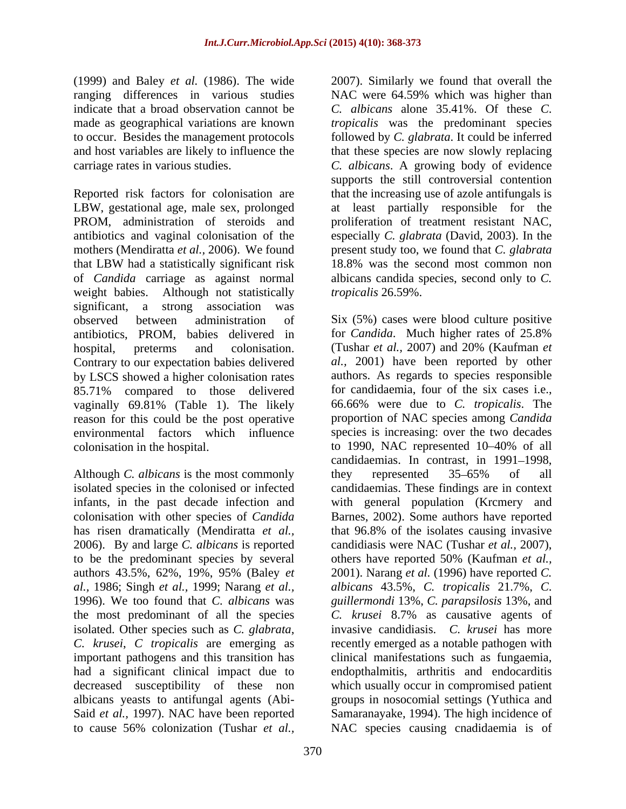(1999) and Baley *et al.* (1986). The wide

Reported risk factors for colonisation are that the increasing use of azole antifungals is LBW, gestational age, male sex, prolonged at least partially responsible for the PROM, administration of steroids and antibiotics and vaginal colonisation of the especially *C. glabrata* (David, 2003). In the mothers (Mendiratta *et al.,* 2006). We found present study too, we found that *C. glabrata* that LBW had a statistically significant risk of *Candida* carriage as against normal weight babies. Although not statistically *tropicalis* 26.59%. significant, a strong association was observed between administration of Six (5%) cases were blood culture positive antibiotics, PROM, babies delivered in for *Candida*. Much higher rates of 25.8% hospital, preterms and colonisation. (Tushar *et al.,* 2007) and 20% (Kaufman *et*  Contrary to our expectation babies delivered by LSCS showed a higher colonisation rates 85.71% compared to those delivered for candidaemia, four of the six cases i.e., vaginally 69.81% (Table 1). The likely reason for this could be the post operative environmental factors which influence species is increasing: over the two decades colonisation in the hospital. to 1990, NAC represented 10–40% of all

Although *C. albicans* is the most commonly 2006). By and large *C. albicans* is reported to be the predominant species by several others have reported 50% (Kaufman *et al.*, *al.,* 1986; Singh *et al.,* 1999; Narang *et al.,* the most predominant of all the species  $C$ . *krusei* 8.7% as causative agents of to cause 56% colonization (Tushar *et al.,* NAC species causing cnadidaemia is of

370

ranging differences in various studies NAC were 64.59% which was higher than indicate that a broad observation cannot be *C. albicans* alone 35.41%. Of these *C*. made as geographical variations are known *tropicalis* was the predominant species to occur. Besides the management protocols followed by *C. glabrata*. It could be inferred and host variables are likely to influence the that these species are now slowly replacing carriage rates in various studies. *C. albicans*. A growing body of evidence 2007). Similarly we found that overall the supports the still controversial contention proliferation of treatment resistant NAC, 18.8% was the second most common non albicans candida species, second only to *C. tropicalis* 26.59%.

isolated species in the colonised or infected candidaemias. These findings are in context infants, in the past decade infection and with general population (Krcmery and colonisation with other species of *Candida* Barnes, 2002). Some authors have reported has risen dramatically (Mendiratta *et al.,* that 96.8% of the isolates causing invasive authors 43.5%, 62%, 19%, 95% (Baley *et*  2001). Narang *et al.* (1996) have reported *C.*  1996). We too found that *C. albicans* was *guillermondi* 13%, *C. parapsilosis* 13%, and isolated. Other species such as *C. glabrata*, invasive candidiasis. *C. krusei* has more *C. krusei*, *C tropicalis* are emerging as recently emerged as a notable pathogen with important pathogens and this transition has clinical manifestations such as fungaemia, had a significant clinical impact due to endopthalmitis, arthritis and endocarditis decreased susceptibility of these non which usually occur in compromised patient albicans yeasts to antifungal agents (Abi- groups in nosocomial settings (Yuthica and Said *et al.,* 1997). NAC have been reported Samaranayake, 1994). The high incidence of for *Candida*. Much higher rates of 25.8% *al.,* 2001) have been reported by other authors. As regards to species responsible for candidaemia, four of the six cases i.e., 66.66% were due to *C. tropicalis*. The proportion of NAC species among *Candida* to 1990, NAC represented 10–40% of all candidaemias. In contrast, in 1991-1998, they represented 35 65% of all candidiasis were NAC (Tushar *et al.,* 2007), others have reported 50% (Kaufman *et al., albicans* 43.5%, *C. tropicalis* 21.7%, *C*. *C. krusei* 8.7% as causative agents of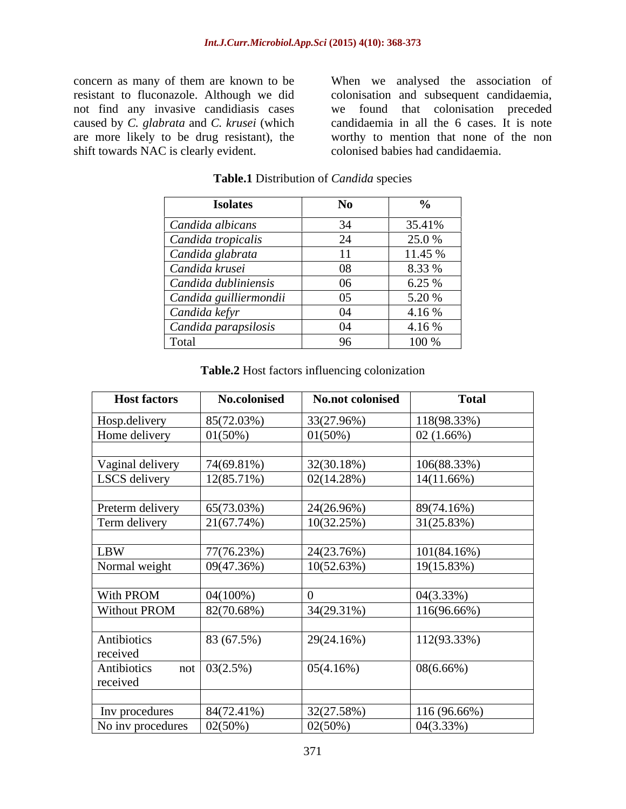concern as many of them are known to be When we analysed the association of resistant to fluconazole. Although we did are more likely to be drug resistant), the shift towards NAC is clearly evident.

not find any invasive candidiasis cases we found that colonisation preceded caused by *C. glabrata* and *C. krusei* (which candidaemia in all the 6 cases. It is note colonisation and subsequent candidaemia, worthy to mention that none of the non colonised babies had candidaemia.

| <b>Isolates</b>        |            |                         |
|------------------------|------------|-------------------------|
| Candida albicans       |            | 35.41%                  |
| Candida tropicalis     | - 44       | 25.0 %                  |
| Candida glabrata       |            | 11.45 %                 |
| Candida krusei         | - 08       | 8.33 %                  |
| Candida dubliniensis   | 06         |                         |
| Candida guilliermondii |            | $\frac{6.25\%}{5.20\%}$ |
| Candida kefyr          |            | 4.16 %                  |
| Candida parapsilosis   | $\sqrt{2}$ | 4.16 %                  |
| Total                  | Q6         | 100 %                   |

#### **Table.1** Distribution of *Candida* species

| <b>Table.2 Host factors</b><br>influencing colonization |  |
|---------------------------------------------------------|--|
|                                                         |  |

| <b>Host factors</b>                                           | No.colonised           | <b>No.not colonised</b> | <b>Total</b>             |
|---------------------------------------------------------------|------------------------|-------------------------|--------------------------|
| Hosp.delivery                                                 | 85(72.03%)             | 33(27.96%)              | 118(98.33%)              |
| Home delivery                                                 | $01(50\%)$             | 01(50%)                 | 02(1.66%)                |
| Vaginal delivery                                              | 74(69.81%)             | 32(30.18%)              | 106(88.33%)              |
| LSCS delivery                                                 | 12(85.71%)             | 02(14.28%)              | $14(11.66\%)$            |
| Preterm delivery                                              | 65(73.03%)             | 24(26.96%)              | 89(74.16%)               |
| Term delivery                                                 | 21(67.74%)             | 10(32.25%)              | 31(25.83%)               |
| LBW                                                           | 77(76.23%)             | 24(23.76%)              | 101(84.16%)              |
| Normal weight                                                 | 09(47.36%)             | 10(52.63%)              | 19(15.83%)               |
| With PROM                                                     | $04(100\%)$            |                         | 04(3.33%)                |
| <b>Without PROM</b>                                           | 82(70.68%)             | 34(29.31%)              | 116(96.66%)              |
| Antibiotics                                                   | 83(67.5%)              | 29(24.16%)              | 112(93.33%)              |
| received                                                      |                        |                         |                          |
| Antibiotics<br>received                                       | not $\sqrt{03(2.5\%)}$ | 05(4.16%)               | $08(6.66\%)$             |
|                                                               |                        |                         |                          |
| Inv procedures<br>No inv procedures $\left( 02(50\%) \right)$ | $84(72.41\%)$          | 32(27.58%)<br>02(50%)   | 116(96.66%)<br>04(3.33%) |
|                                                               |                        |                         |                          |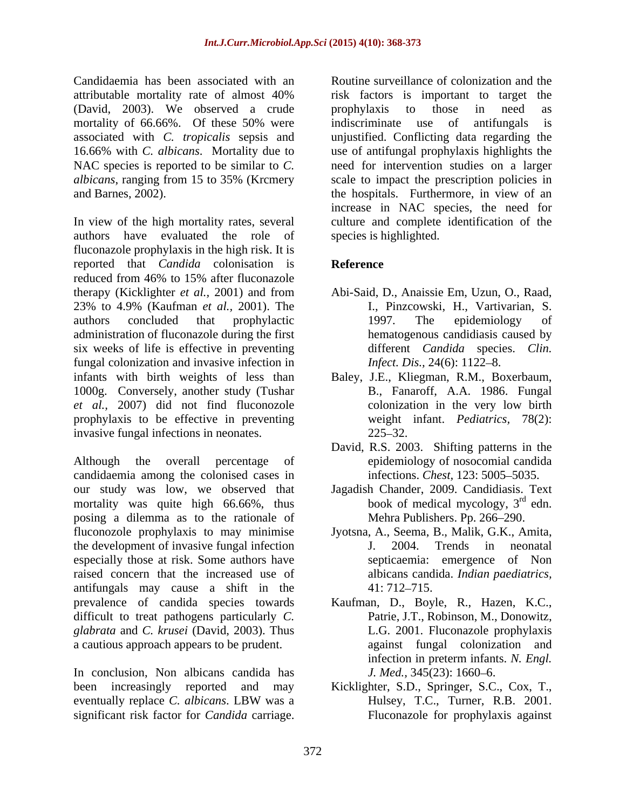Candidaemia has been associated with an (David, 2003). We observed a crude associated with *C. tropicalis* sepsis and

authors have evaluated the role of fluconazole prophylaxis in the high risk. It is reported that *Candida* colonisation is reduced from 46% to 15% after fluconazole therapy (Kicklighter *et al.,* 2001) and from Abi-Said, D., Anaissie Em, Uzun, O., Raad, 23% to 4.9% (Kaufman *et al.,* 2001).The authors concluded that prophylactic administration of fluconazole during the first six weeks of life is effective in preventing fungal colonization and invasive infection in infants with birth weights of less than Baley, J.E., Kliegman, R.M., Boxerbaum, 1000g. Conversely, another study (Tushar *et al.,* 2007) did not find fluconozole prophylaxis to be effective in preventing invasive fungal infections in neonates. 225–32. Candida considered in the measure of colonization in the case of the colonization in the colonization of the colonization of the colonization of the colonization in the colonization of the colonization is the colonization

Although the overall percentage of epidemiology of nosocomial candida candidaemia among the colonised cases in  $\frac{123}{5005-5035}$ . our study was low, we observed that Jagadish Chander, 2009. Candidiasis. Text mortality was quite high 66.66%, thus posing a dilemma as to the rationale of fluconozole prophylaxis to may minimise the development of invasive fungal infection  $J. 2004.$  Trends in neonatal especially those at risk. Some authors have raised concern that the increased use of antifungals may cause a shift in the prevalence of candida species towards Kaufman, D., Boyle, R., Hazen, K.C., difficult to treat pathogens particularly C. Patrie, J.T., Robinson, M., Donowitz, difficult to treat pathogens particularly *C*. Patrie, J.T., Robinson, M., Donowitz, *glabrata* and *C. krusei* (David, 2003). Thus a cautious approach appears to be prudent.

In conclusion, Non albicans candida has *J. Med.*, 345(23): 1660–6. been increasingly reported and may Kicklighter, S.D., Springer, S.C., Cox, T., eventually replace *C. albicans*. LBW was a

attributable mortality rate of almost 40% mortality of 66.66%. Of these 50% were indiscriminate use of antifungals is 16.66% with *C. albicans*. Mortality due to use of antifungal prophylaxis highlights the NAC species is reported to be similar to C. The need for intervention studies on a larger *albicans*, ranging from 15 to 35% (Krcmery scale to impact the prescription policies in and Barnes, 2002).<br>
In view of the high mortality rates, several<br>
In view of the high mortality rates, several<br>
In view of the high mortality rates, several<br>
In view of the high mortality rates, several<br>
In view of the hig risk factors is important to target the prophylaxis to those in need as indiscriminate use of antifungals is unjustified. Conflicting data regarding the the hospitals. Furthermore, in view of an increase in NAC species, the need for culture and complete identification of the species is highlighted.

# **Reference**

- I., Pinzcowski, H., Vartivarian, S. 1997. The epidemiology of hematogenous candidiasis caused by different *Candida* species. *Clin. Infect. Dis., 24(6): 1122-8.*
- B., Fanaroff, A.A. 1986. Fungal colonization in the very low birth weight infant. *Pediatrics,* 78(2):  $225 - 32.$
- David, R.S. 2003. Shifting patterns in the
- infections. *Chest,* 123: 5005–5035.<br>Jagadish Chander, 2009. Candidiasis. Text book of medical mycology,  $3<sup>rd</sup>$  edn.  $rd_{\text{cdn}}$ edn. Mehra Publishers. Pp. 266-290.
- Jyotsna, A., Seema, B., Malik, G.K., Amita, J. 2004. Trends in neonatal septicaemia: emergence of Non albicans candida. *Indian paediatrics,*  $41: 712 - 715.$
- L.G. 2001. Fluconazole prophylaxis against fungal colonization and infection in preterm infants. *N. Engl. J. Med.,* 345(23): 1660–6.
- Kicklighter, S.D., Springer, S.C., Cox, T., Hulsey, T.C., Turner, R.B. 2001. Fluconazole for prophylaxis against